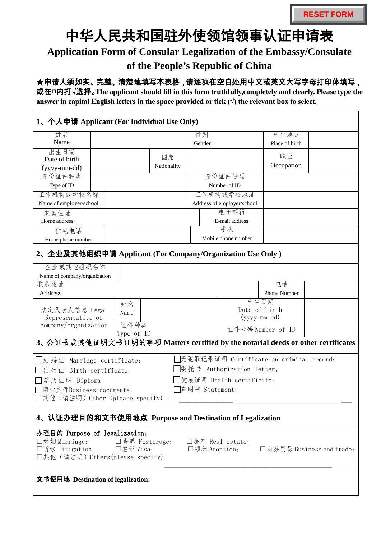## 中华人民共和国驻外使领馆领事认证申请表

## **Application Form of Consular Legalization of the Embassy/Consulate**

## **of the People's Republic of China**

## ★申请人须如实、完整、清楚地填写本表格,请逐项在空白处用中文或英文大写字母打印体填写,

或在□内打√选择。**The applicant should fill in this form truthfully,completely and clearly. Please type the**  answer in capital English letters in the space provided or tick  $(\forall)$  the relevant box to select.

| 1、个人申请 Applicant (For Individual Use Only)                                                                                                                                                           |  |                    |                                        |                            |                     |                |  |  |  |
|------------------------------------------------------------------------------------------------------------------------------------------------------------------------------------------------------|--|--------------------|----------------------------------------|----------------------------|---------------------|----------------|--|--|--|
| 姓名                                                                                                                                                                                                   |  |                    |                                        | 性别                         |                     | 出生地点           |  |  |  |
| Name                                                                                                                                                                                                 |  |                    |                                        | Gender                     |                     | Place of birth |  |  |  |
| 出生日期                                                                                                                                                                                                 |  |                    |                                        |                            |                     |                |  |  |  |
| Date of birth                                                                                                                                                                                        |  |                    | 国籍                                     |                            |                     | 职业             |  |  |  |
| (yyyy-mm-dd)                                                                                                                                                                                         |  |                    | Nationality                            |                            |                     | Occupation     |  |  |  |
| 身份证件种类                                                                                                                                                                                               |  |                    |                                        |                            | 身份证件号码              |                |  |  |  |
| Type of ID                                                                                                                                                                                           |  |                    |                                        |                            | Number of ID        |                |  |  |  |
| 工作机构或学校名称                                                                                                                                                                                            |  |                    |                                        | 工作机构或学校地址                  |                     |                |  |  |  |
| Name of employer/school                                                                                                                                                                              |  |                    |                                        | Address of employer/school |                     |                |  |  |  |
| 家庭住址                                                                                                                                                                                                 |  |                    |                                        |                            | 电子邮箱                |                |  |  |  |
| Home address                                                                                                                                                                                         |  |                    |                                        |                            | E-mail address      |                |  |  |  |
| 住宅电话                                                                                                                                                                                                 |  |                    |                                        |                            | 手机                  |                |  |  |  |
| Home phone number                                                                                                                                                                                    |  |                    |                                        |                            | Mobile phone number |                |  |  |  |
| 2、企业及其他组织申请 Applicant (For Company/Organization Use Only)<br>企业或其他组织名称                                                                                                                               |  |                    |                                        |                            |                     |                |  |  |  |
| Name of company/organization                                                                                                                                                                         |  |                    |                                        |                            |                     |                |  |  |  |
| 联系地址                                                                                                                                                                                                 |  |                    |                                        |                            |                     | 电话             |  |  |  |
| Address                                                                                                                                                                                              |  |                    |                                        |                            |                     | Phone Number   |  |  |  |
| 法定代表人信息 Legal<br>Representative of<br>company/organization                                                                                                                                           |  | 姓名<br>Name<br>证件种类 | 出生日期<br>Date of birth<br>$(yyyymm-dd)$ |                            |                     |                |  |  |  |
| 证件号码 Number of ID<br>Type of ID                                                                                                                                                                      |  |                    |                                        |                            |                     |                |  |  |  |
| 3、公证书或其他证明文书证明的事项 Matters certified by the notarial deeds or other certificates                                                                                                                      |  |                    |                                        |                            |                     |                |  |  |  |
| □无犯罪记录证明 Certificate on-criminal record;<br>□结婚证 Marriage certificate;                                                                                                                               |  |                    |                                        |                            |                     |                |  |  |  |
| □委托书 Authorization letter;<br>□出生证 Birth certificate;                                                                                                                                                |  |                    |                                        |                            |                     |                |  |  |  |
| □学历证明 Diploma;<br>■健康证明 Health certificate;                                                                                                                                                          |  |                    |                                        |                            |                     |                |  |  |  |
| □声明书 Statement;<br>□商业文件Business documents;                                                                                                                                                          |  |                    |                                        |                            |                     |                |  |  |  |
| □其他(请注明) Other (please specify):                                                                                                                                                                     |  |                    |                                        |                            |                     |                |  |  |  |
|                                                                                                                                                                                                      |  |                    |                                        |                            |                     |                |  |  |  |
| 4、认证办理目的和文书使用地点 Purpose and Destination of Legalization                                                                                                                                              |  |                    |                                        |                            |                     |                |  |  |  |
| 办理目的 Purpose of legalization:<br>□婚姻 Marriage;<br>□寄养 Fosterage;<br>□房产 Real estate;<br>□诉讼 Litigation; □签证 Visa;<br>□领养 Adoption;<br>□商务贸易 Business and trade;<br>口其他(请注明) Others (please specify): |  |                    |                                        |                            |                     |                |  |  |  |
| 文书使用地 Destination of legalization:                                                                                                                                                                   |  |                    |                                        |                            |                     |                |  |  |  |